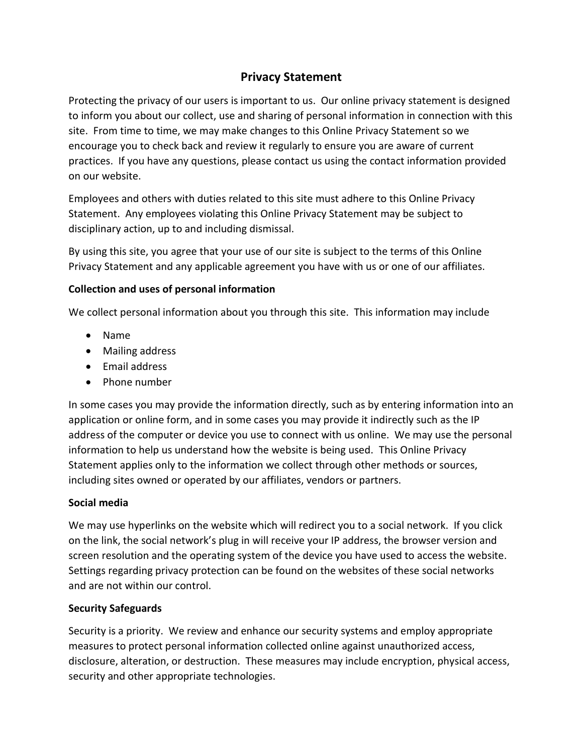# **Privacy Statement**

Protecting the privacy of our users is important to us. Our online privacy statement is designed to inform you about our collect, use and sharing of personal information in connection with this site. From time to time, we may make changes to this Online Privacy Statement so we encourage you to check back and review it regularly to ensure you are aware of current practices. If you have any questions, please contact us using the contact information provided on our website.

Employees and others with duties related to this site must adhere to this Online Privacy Statement. Any employees violating this Online Privacy Statement may be subject to disciplinary action, up to and including dismissal.

By using this site, you agree that your use of our site is subject to the terms of this Online Privacy Statement and any applicable agreement you have with us or one of our affiliates.

### **Collection and uses of personal information**

We collect personal information about you through this site. This information may include

- Name
- Mailing address
- Email address
- Phone number

In some cases you may provide the information directly, such as by entering information into an application or online form, and in some cases you may provide it indirectly such as the IP address of the computer or device you use to connect with us online. We may use the personal information to help us understand how the website is being used. This Online Privacy Statement applies only to the information we collect through other methods or sources, including sites owned or operated by our affiliates, vendors or partners.

## **Social media**

We may use hyperlinks on the website which will redirect you to a social network. If you click on the link, the social network's plug in will receive your IP address, the browser version and screen resolution and the operating system of the device you have used to access the website. Settings regarding privacy protection can be found on the websites of these social networks and are not within our control.

## **Security Safeguards**

Security is a priority. We review and enhance our security systems and employ appropriate measures to protect personal information collected online against unauthorized access, disclosure, alteration, or destruction. These measures may include encryption, physical access, security and other appropriate technologies.